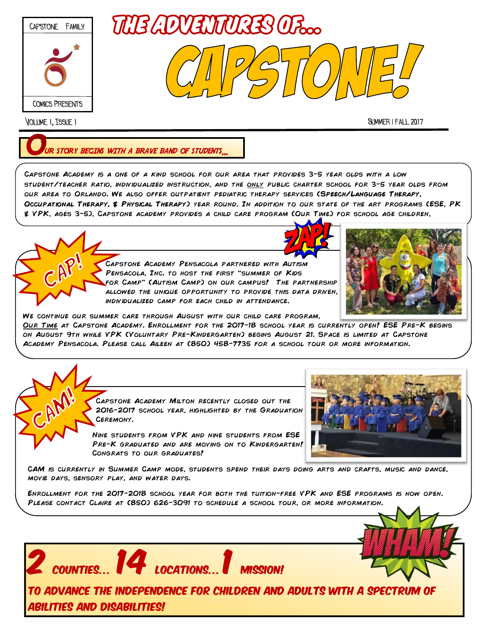

Volume 1, Issue 1 Summer / fall 2017

**RISTORY BEGINS WITH A BRAVE BAND OF STUDENTS.** 

Capstone Academy is a one of a kind school for our area that provides 3-5 year olds with a low student/teacher ratio, individualized instruction, and the only public charter school for 3-5 year olds from our area to Orlando. We also offer outpatient pediatric therapy services (**Speech/Language Therapy, Occupational Therapy, & Physical Therapy**) year round. In addition to our state of the art programs (ESE, PK & VPK, ages 3-5), Capstone academy provides a child care program (Our Time) for school age children,





Capstone Academy Pensacola partnered with Autism Pensacola, Inc. to host the first "summer of Kids for Camp" (Autism Camp) on our campus! The partnership ALLOWED THE UNIQUE OPPORTUNITY TO PROVIDE THIS DATA DRIVEN, individualized camp for each child in attendance.



We continue our summer care through August with our child care program,

Our Time at Capstone Academy. Enrollment for the 2017-18 school year is currently open! ESE Pre-K begins on August 9th while VPK (Voluntary Pre-Kindergarten) begins August 21. Space is limited at Capstone Academy Pensacola. Please call Aileen at (850) 458-7735 for a school tour or more information.

> Capstone Academy Milton recently closed out the 2016-2017 school year, highlighted by the Graduation Ceremony.

Nine students from VPK and nine students from ESE PRE-K GRADUATED AND ARE MOVING ON TO KINDERGARTEN! Congrats to our graduates!

 $\overline{\mathbf{C}^\text{CONTIES} \dots}$   $\overline{\mathbf{14}}^\text{Local}]$ 



CAM is currently in Summer Camp mode, students spend their days doing arts and crafts, music and dance, movie days, sensory play, and water days.

Enrollment for the 2017-2018 school year for both the tuition-free VPK and ESE programs is now open. Please contact Claire at (850) 626-3091 to schedule a school tour, or more information.



To Advance the independence for children and adults with a spectrum of abilities and disabilities!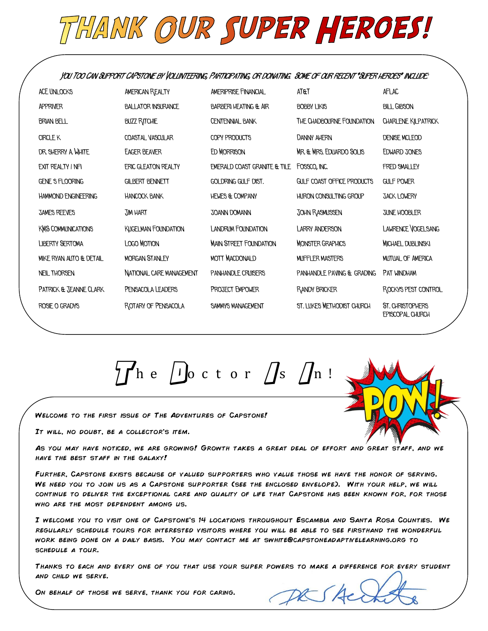## THANK OUR SUPER HEROES!

**You Too Can Support CAPstone by Volunteering, Participating, or donating. Some of our recent "Super heroes" include:**

| ACF UNI OCKS               | <b>AMERICAN REALTY</b>     | <b>AMERIPRISE FINANCIAL</b>      | <b>AT&amp;T</b>               | AFLAC                                       |  |
|----------------------------|----------------------------|----------------------------------|-------------------------------|---------------------------------------------|--|
| <b>APPRIVER</b>            | <b>BALLATOR INSURANCE</b>  | <b>BARBERI HEATING &amp; AIR</b> | <b>BOBBY LIKIS</b>            | <b>BILL GIBSON</b>                          |  |
| <b>BRIAN BELL</b>          | <b>BUZZ RITCHIE</b>        | <b>CENTENNIAL BANK</b>           | THE CHADBOURNE FOUNDATION     | CHARLENE KILPATRICK                         |  |
| <b>CIRCLE K</b>            | COASTAL VASCULAR           | COPY PRODUCTS                    | <b>DANNY AHERN</b>            | <b>DENISE MCLEOD</b>                        |  |
| DR. SHERRY A WHITE         | <b>EAGER BEAVER</b>        | ED MORRISON                      | MR. & MRS. EDUARDO SOLIS      | EDWARD JONES                                |  |
| EXIT REALTY I NFI          | <b>ERIC GLEATON REALTY</b> | EMERALD COAST GRANITE & TILE     | FOSSCO, INC.                  | <b>FRED SMALLEY</b>                         |  |
| <b>GENE S FLOORING</b>     | <b>GILBERT BENNETT</b>     | GOLDRING GULF DIST.              | GULF COAST OFFICE PRODUCTS    | <b>GULF POWER</b>                           |  |
| <b>HAMMOND ENGINEERING</b> | <b>HANCOCK BANK</b>        | <b>HEWES &amp; COMPANY</b>       | <b>HURON CONSULTING GROUP</b> | <b>JACK LOWERY</b>                          |  |
| <b>JAMES REEVES</b>        | <b>TIM HART</b>            | <b>JOANN DOMANN</b>              | JOHN RASMUSSEN                | JUNE HOOBLER                                |  |
| <b>KMS COMMUNICATIONS</b>  | <b>KUGELMAN FOUNDATION</b> | <b>LANDRUM FOUNDATION</b>        | <b>LARRY ANDERSON</b>         | <b>LAWRENCE VOGELSANG</b>                   |  |
| <b>LIBERTY SERTOMA</b>     | <b>LOGO MOTION</b>         | <b>MAIN STREET FOUNDATION</b>    | <b>MONSTER GRAPHICS</b>       | <b>MICHAEL DUBLINSKI</b>                    |  |
| MIKE RYAN AUTO & DETAIL    | <b>MORGAN STANLEY</b>      | <b>MOTT MACDONALD</b>            | <b>MUFFLER MASTERS</b>        | <b>MUTUAL OF AMERICA</b>                    |  |
| <b>NEIL THORSEN</b>        | NATIONAL CARE MANAGEMENT   | PANHANDLE CRUISERS               | PANHANDLE PAVING & GRADING    | PAT WINDHAM                                 |  |
| PATRICK & JEANNE CLARK     | PENSACOLA LEADERS          | PROJECT EMPOWER                  | <b>RANDY BRICKER</b>          | ROCKYS PEST CONTROL                         |  |
| ROSIE O GRADYS             | ROTARY OF PENSACOLA        | <b>SAMMYS MANAGEMENT</b>         | ST. LUKES METHODIST CHURCH    | ST. CHRISTOPHERS<br><b>EPISCOPAL CHURCH</b> |  |

 $\frac{1}{7}$   $\int h e$   $\int$  octor  $\int s$   $\int n$ !

Welcome to the first issue of The Adventures of Capstone!

It will, no doubt, be a collector's item.

As you may have noticed, we are growing! Growth takes a great deal of effort and great staff, and we have the best staff in the galaxy!

Further, Capstone exists because of valued supporters who value those we have the honor of serving. WE NEED YOU TO JOIN US AS A CAPSTONE SUPPORTER (SEE THE ENCLOSED ENVELOPE). WITH YOUR HELP, WE WILL continue to deliver the exceptional care and quality of life that Capstone has been known for, for those who are the most dependent among us.

I welcome you to visit one of Capstone's 14 locations throughout Escambia and Santa Rosa Counties. We regularly schedule tours for interested visitors where you will be able to see firsthand the wonderful work being done on a daily basis. You may contact me at swhite@capstoneadaptivelearning.org to schedule a tour.

Thanks to each and every one of you that use your super powers to make a difference for every student and child we serve.

On behalf of those we serve, thank you for caring.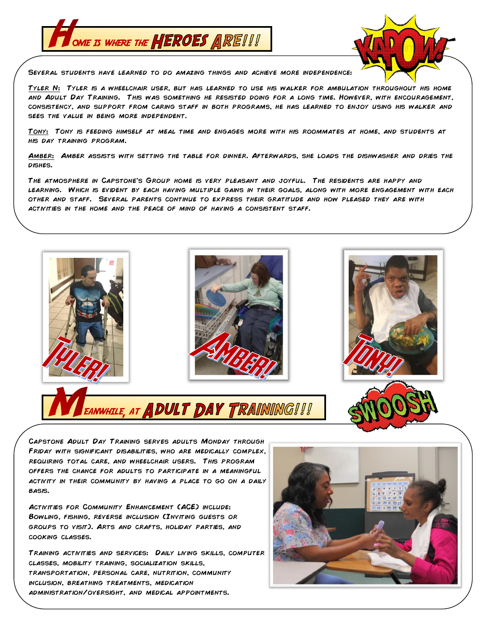



Several students have learned to do amazing things and achieve more independence:

Tyler N: Tyler is a wheelchair user, but has learned to use his walker for ambulation throughout his home and Adult Day Training. This was something he resisted doing for a long time. However, with encouragement, consistency, and support from caring staff in both programs, he has learned to enjoy using his walker and sees the value in being more independent.

TONY: TONY IS FEEDING HIMSELF AT MEAL TIME AND ENGAGES MORE WITH HIS ROOMMATES AT HOME, AND STUDENTS AT his day training program.

Amber: Amber assists with setting the table for dinner. Afterwards, she loads the dishwasher and dries the DISHES.

The atmosphere in Capstone's Group home is very pleasant and joyful. The residents are happy and learning. Which is evident by each having multiple gains in their goals, along with more engagement with each other and staff. Several parents continue to express their gratitude and how pleased they are with activities in the home and the peace of mind of having a consistent staff.



Capstone Adult Day Training serves adults Monday through Friday with significant disabilities, who are medically complex, requiring total care, and wheelchair users. This program offers the chance for adults to participate in a meaningful activity in their community by having a place to go on a daily basis.

ACTIVITIES FOR COMMUNITY ENHANCEMENT (ACE) INCLUDE: Bowling, fishing, reverse inclusion (Inviting guests or groups to visit). Arts and crafts, holiday parties, and cooking classes.

Training activities and services: Daily living skills, computer classes, mobility training, socialization skills, transportation, personal care, nutrition, community inclusion, breathing treatments, medication administration/oversight, and medical appointments.